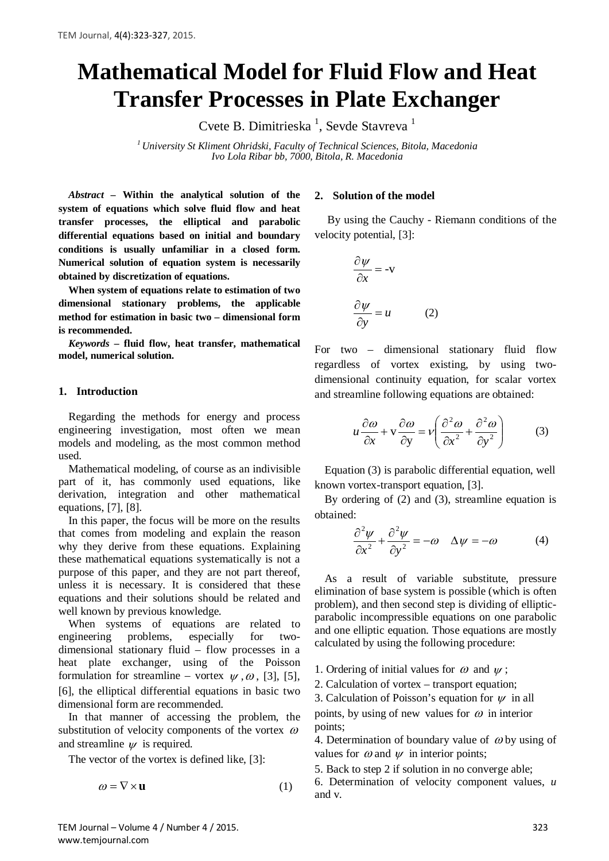# **Mathematical Model for Fluid Flow and Heat Transfer Processes in Plate Exchanger**

Cvete B. Dimitrieska<sup>1</sup>, Sevde Stavreva<sup>1</sup>

*<sup>1</sup> University St Kliment Ohridski, Faculty of Technical Sciences, Bitola, Macedonia Ivo Lola Ribar bb, 7000, Bitola, R. Macedonia*

*Abstract –* **Within the analytical solution of the system of equations which solve fluid flow and heat transfer processes, the elliptical and parabolic differential equations based on initial and boundary conditions is usually unfamiliar in a closed form. Numerical solution of equation system is necessarily obtained by discretization of equations.**

**When system of equations relate to estimation of two dimensional stationary problems, the applicable method for estimation in basic two – dimensional form is recommended.**

*Keywords* **– fluid flow, heat transfer, mathematical model, numerical solution.**

#### **1. Introduction**

Regarding the methods for energy and process engineering investigation, most often we mean models and modeling, as the most common method used.

Mathematical modeling, of course as an indivisible part of it, has commonly used equations, like derivation, integration and other mathematical equations, [7], [8].

In this paper, the focus will be more on the results that comes from modeling and explain the reason why they derive from these equations. Explaining these mathematical equations systematically is not a purpose of this paper, and they are not part thereof, unless it is necessary. It is considered that these equations and their solutions should be related and well known by previous knowledge.

When systems of equations are related to engineering problems, especially for twodimensional stationary fluid – flow processes in a heat plate exchanger, using of the Poisson formulation for streamline – vortex  $\psi$ ,  $\omega$ , [3], [5], [6], the elliptical differential equations in basic two dimensional form are recommended.

In that manner of accessing the problem, the substitution of velocity components of the vortex  $\omega$ and streamline  $\psi$  is required.

The vector of the vortex is defined like, [3]:

$$
\omega = \nabla \times \mathbf{u} \tag{1}
$$

### **2. Solution of the model**

By using the Cauchy - Riemann conditions of the velocity potential, [3]:

$$
\frac{\partial \psi}{\partial x} = -v
$$

$$
\frac{\partial \psi}{\partial y} = u \tag{2}
$$

For two – dimensional stationary fluid flow regardless of vortex existing, by using twodimensional continuity equation, for scalar vortex and streamline following equations are obtained:

$$
u\frac{\partial \omega}{\partial x} + v\frac{\partial \omega}{\partial y} = v\left(\frac{\partial^2 \omega}{\partial x^2} + \frac{\partial^2 \omega}{\partial y^2}\right) \tag{3}
$$

Equation (3) is parabolic differential equation, well known vortex-transport equation, [3].

By ordering of (2) and (3), streamline equation is obtained:

$$
\frac{\partial^2 \psi}{\partial x^2} + \frac{\partial^2 \psi}{\partial y^2} = -\omega \quad \Delta \psi = -\omega \tag{4}
$$

As a result of variable substitute, pressure elimination of base system is possible (which is often problem), and then second step is dividing of ellipticparabolic incompressible equations on one parabolic and one elliptic equation. Those equations are mostly calculated by using the following procedure:

1. Ordering of initial values for  $\omega$  and  $\psi$ ;

2. Calculation of vortex – transport equation;

3. Calculation of Poisson's equation for  $\psi$  in all points, by using of new values for  $\omega$  in interior points;

4. Determination of boundary value of  $\omega$  by using of values for  $\omega$  and  $\psi$  in interior points;

5. Back to step 2 if solution in no converge able;

6. Determination of velocity component values, *u* and v.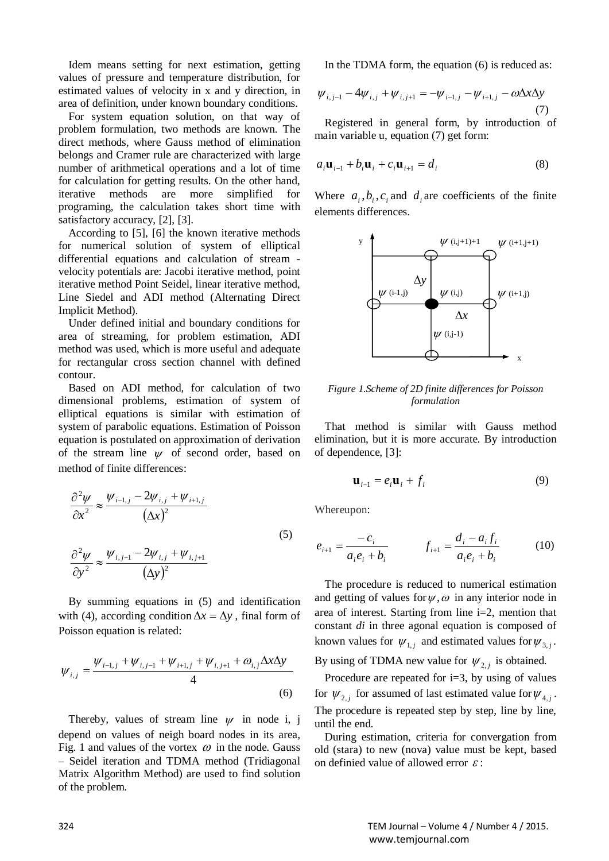Idem means setting for next estimation, getting values of pressure and temperature distribution, for estimated values of velocity in x and y direction, in area of definition, under known boundary conditions.

For system equation solution, on that way of problem formulation, two methods are known. The direct methods, where Gauss method of elimination belongs and Cramer rule are characterized with large number of arithmetical operations and a lot of time for calculation for getting results. On the other hand, iterative methods are more simplified for programing, the calculation takes short time with satisfactory accuracy, [2], [3].

According to [5], [6] the known iterative methods for numerical solution of system of elliptical differential equations and calculation of stream velocity potentials are: Jacobi iterative method, point iterative method Point Seidel, linear iterative method, Line Siedel and ADI method (Alternating Direct Implicit Method).

Under defined initial and boundary conditions for area of streaming, for problem estimation, ADI method was used, which is more useful and adequate for rectangular cross section channel with defined contour.

Based on ADI method, for calculation of two dimensional problems, estimation of system of elliptical equations is similar with estimation of system of parabolic equations. Estimation of Poisson equation is postulated on approximation of derivation of the stream line  $\psi$  of second order, based on method of finite differences:

$$
\frac{\partial^2 \psi}{\partial x^2} \approx \frac{\psi_{i-1,j} - 2\psi_{i,j} + \psi_{i+1,j}}{(\Delta x)^2}
$$
  

$$
\frac{\partial^2 \psi}{\partial y^2} \approx \frac{\psi_{i,j-1} - 2\psi_{i,j} + \psi_{i,j+1}}{(\Delta y)^2}
$$
 (5)

By summing equations in (5) and identification with (4), according condition  $\Delta x = \Delta y$ , final form of Poisson equation is related:

$$
\psi_{i,j} = \frac{\psi_{i-1,j} + \psi_{i,j-1} + \psi_{i+1,j} + \psi_{i,j+1} + \omega_{i,j} \Delta x \Delta y}{4}
$$
\n(6)

Thereby, values of stream line  $\psi$  in node i, j depend on values of neigh board nodes in its area, Fig. 1 and values of the vortex  $\omega$  in the node. Gauss – Seidel iteration and TDMA method (Tridiagonal Matrix Algorithm Method) are used to find solution of the problem.

In the TDMA form, the equation (6) is reduced as:

$$
\psi_{i,j-1} - 4\psi_{i,j} + \psi_{i,j+1} = -\psi_{i-1,j} - \psi_{i+1,j} - \omega \Delta x \Delta y
$$
\n(7)

Registered in general form, by introduction of main variable u, equation (7) get form:

$$
a_i \mathbf{u}_{i-1} + b_i \mathbf{u}_i + c_i \mathbf{u}_{i+1} = d_i
$$
 (8)

Where  $a_i, b_i, c_i$  and  $d_i$  are coefficients of the finite elements differences.



*Figure 1.Scheme of 2D finite differences for Poisson formulation*

That method is similar with Gauss method elimination, but it is more accurate. By introduction of dependence, [3]:

$$
\mathbf{u}_{i-1} = e_i \mathbf{u}_i + f_i \tag{9}
$$

Whereupon:

$$
e_{i+1} = \frac{-c_i}{a_i e_i + b_i} \qquad f_{i+1} = \frac{d_i - a_i f_i}{a_i e_i + b_i} \tag{10}
$$

The procedure is reduced to numerical estimation and getting of values for  $\psi$ ,  $\omega$  in any interior node in area of interest. Starting from line i=2, mention that constant *di* in three agonal equation is composed of known values for  $\psi_{1,i}$  and estimated values for  $\psi_{3,i}$ .

By using of TDMA new value for  $\psi_{2,i}$  is obtained.

Procedure are repeated for  $i=3$ , by using of values for  $\psi_{2,i}$  for assumed of last estimated value for  $\psi_{4,i}$ . The procedure is repeated step by step, line by line, until the end.

During estimation, criteria for convergation from old (stara) to new (nova) value must be kept, based on definied value of allowed error  $\varepsilon$ :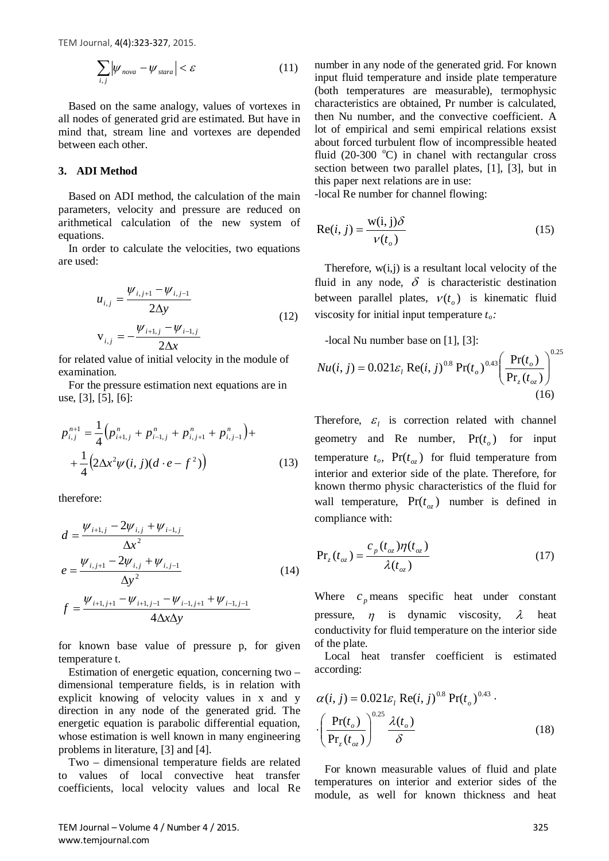TEM Journal, 4(4):323-327, 2015.

$$
\sum_{i,j} |\psi_{nova} - \psi_{\text{star}}| < \varepsilon \tag{11}
$$

Based on the same analogy, values of vortexes in all nodes of generated grid are estimated. But have in mind that, stream line and vortexes are depended between each other.

## **3. ADI Method**

Based on ADI method, the calculation of the main parameters, velocity and pressure are reduced on arithmetical calculation of the new system of equations.

In order to calculate the velocities, two equations are used:

$$
u_{i,j} = \frac{\psi_{i,j+1} - \psi_{i,j-1}}{2\Delta y}
$$
  

$$
v_{i,j} = -\frac{\psi_{i+1,j} - \psi_{i-1,j}}{2\Delta x}
$$
 (12)

for related value of initial velocity in the module of examination.

For the pressure estimation next equations are in use, [3], [5], [6]:

$$
p_{i,j}^{n+1} = \frac{1}{4} \Big( p_{i+1,j}^n + p_{i-1,j}^n + p_{i,j+1}^n + p_{i,j-1}^n \Big) +
$$
  
+ 
$$
\frac{1}{4} \Big( 2\Delta x^2 \psi(i,j) (d \cdot e - f^2) \Big)
$$
(13)

therefore:

$$
d = \frac{\psi_{i+1,j} - 2\psi_{i,j} + \psi_{i-1,j}}{\Delta x^2}
$$
  
\n
$$
e = \frac{\psi_{i,j+1} - 2\psi_{i,j} + \psi_{i,j-1}}{\Delta y^2}
$$
  
\n
$$
f = \frac{\psi_{i+1,j+1} - \psi_{i+1,j-1} - \psi_{i-1,j+1} + \psi_{i-1,j-1}}{4\Delta x \Delta y}
$$
\n(14)

for known base value of pressure p, for given temperature t.

Estimation of energetic equation, concerning two – dimensional temperature fiеlds, is in relation with explicit knowing of velocity values in x and y direction in any node of the generated grid. The energetic equation is parabolic differential equation, whose estimation is well known in many engineering problems in literature, [3] and [4].

Two – dimensional temperature fields are related to values of local convective heat transfer coefficients, local velocity values and local Re number in any node of the generated grid. For known input fluid temperature and inside plate temperature (both temperatures are measurable), termophysic characteristics are obtained, Pr number is calculated, then Nu number, and the convective coefficient. A lot of empirical and semi empirical relations exsist about forced turbulent flow of incompressible heated fluid (20-300  $^{\circ}$ C) in chanel with rectangular cross section between two parallel plates, [1], [3], but in this paper next relations are in use: -local Re number for channel flowing:

 $Re(i, j) = \frac{w(i, j)}{s}$  $i, j$ ) =  $\frac{w(i, j)\delta}{v(t)}$  (15)

Therefore,  $w(i,j)$  is a resultant local velocity of the fluid in any node,  $\delta$  is characteristic destination between parallel plates,  $v(t_0)$  is kinematic fluid viscosity for initial input temperature *to:*

*-*local Nu number base on [1], [3]:

 $(t_{\scriptscriptstyle \alpha})$ 

*ot*

$$
Nu(i, j) = 0.021\varepsilon_l \operatorname{Re}(i, j)^{0.8} \operatorname{Pr}(t_o)^{0.43} \left(\frac{\operatorname{Pr}(t_o)}{\operatorname{Pr}_z(t_{oz})}\right)^{0.25}
$$
\n(16)

Therefore,  $\varepsilon$ <sub>*l*</sub> is correction related with channel geometry and Re number,  $Pr(t_0)$  for input temperature  $t_o$ ,  $Pr(t_{oz})$  for fluid temperature from interior and exterior side of the plate. Therefore, for known thermo physic characteristics of the fluid for wall temperature,  $Pr(t_{oz})$  number is defined in compliance with:

$$
Pr_z(t_{oz}) = \frac{c_p(t_{oz})\eta(t_{oz})}{\lambda(t_{oz})}
$$
\n(17)

Where  $c_p$  means specific heat under constant pressure,  $\eta$  is dynamic viscosity,  $\lambda$  heat conductivity for fluid temperature on the interior side of the plate.

Local heat transfer coefficient is estimated according:

$$
\alpha(i, j) = 0.021\varepsilon_l \operatorname{Re}(i, j)^{0.8} \operatorname{Pr}(t_o)^{0.43} \cdot \left(\frac{\operatorname{Pr}(t_o)}{\operatorname{Pr}_z(t_{oz})}\right)^{0.25} \frac{\lambda(t_o)}{\delta} \tag{18}
$$

For known measurable values of fluid and plate temperatures on interior and exterior sides of the module, as well for known thickness and heat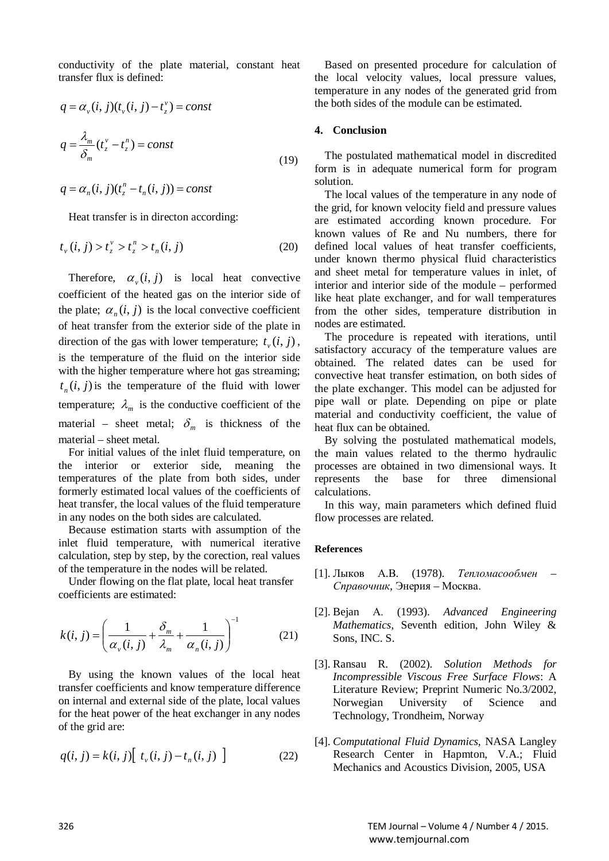conductivity of the plate material, constant heat transfer flux is defined:

$$
q = \alpha_v(i, j)(t_v(i, j) - t_z^v) = const
$$
  

$$
q = \frac{\lambda_m}{\delta_m}(t_z^v - t_z^v) = const
$$
 (19)

$$
q = \alpha_n(i, j)(t^n_z - t_n(i, j)) = const
$$

Heat transfer is in directon according:

$$
t_{\nu}(i,j) > t_{z}^{\nu} > t_{z}^{n} > t_{n}(i,j)
$$
 (20)

Therefore,  $\alpha_{v}(i, j)$  is local heat convective coefficient of the heated gas on the interior side of the plate;  $\alpha_n(i, j)$  is the local convective coefficient of heat transfer from the exterior side of the plate in direction of the gas with lower temperature;  $t_{\nu}$  (*i*, *j*), is the temperature of the fluid on the interior side with the higher temperature where hot gas streaming;  $t_n(i, j)$  is the temperature of the fluid with lower temperature;  $\lambda_m$  is the conductive coefficient of the material – sheet metal;  $\delta_m$  is thickness of the material – sheet metal.

For initial values of the inlet fluid temperature, on the interior or exterior side, meaning the temperatures of the plate from both sides, under formerly estimated local values of the coefficients of heat transfer, the local values of the fluid temperature in any nodes on the both sides are calculated.

Because estimation starts with assumption of the inlet fluid temperature, with numerical iterative calculation, step by step, by the corection, real values of the temperature in the nodes will be related.

Under flowing on the flat plate, local heat transfer coefficients are estimated:

$$
k(i, j) = \left(\frac{1}{\alpha_v(i, j)} + \frac{\delta_m}{\lambda_m} + \frac{1}{\alpha_n(i, j)}\right)^{-1}
$$
(21)

By using the known values of the local heat transfer coefficients and know temperature difference on internal and external side of the plate, local values for the heat power of the heat exchanger in any nodes of the grid are:

$$
q(i, j) = k(i, j) [t_v(i, j) - t_n(i, j)]
$$
 (22)

Based on presented procedure for calculation of the local velocity values, local pressure values, temperature in any nodes of the generated grid from the both sides of the module can be estimated.

## **4. Conclusion**

The postulated mathematical model in discredited form is in adequate numerical form for program solution.

The local values of the temperature in any node of the grid, for known velocity field and pressure values are estimated according known procedure. For known values of Re and Nu numbers, there for defined local values of heat transfer coefficients, under known thermo physical fluid characteristics and sheet metal for temperature values in inlet, of interior and interior side of the module – performed like heat plate exchanger, and for wall temperatures from the other sides, temperature distribution in nodes are estimated.

The procedure is repeated with iterations, until satisfactory accuracy of the temperature values are obtained. The related dates can be used for convective heat transfer estimation, on both sides of the plate exchanger. This model can be adjusted for pipe wall or plate. Depending on pipe or plate material and conductivity coefficient, the value of heat flux can be obtained.

By solving the postulated mathematical models, the main values related to the thermo hydraulic processes are obtained in two dimensional ways. It represents the base for three dimensional calculations.

In this way, main parameters which defined fluid flow processes are related.

#### **References**

- [1]. Лыков А.В. (1978). *Тепломасообмен – Справочник*, Энерия – Москва.
- [2]. Bejan А. (1993). *Advanced Engineering Mathematics*, Seventh edition, John Wiley & Sons, INC. S.
- [3]. Ransau R. (2002). *Solution Methods for Incompressible Viscous Free Surface Flows*: A Literature Review; Preprint Numeric No.3/2002, Norwegian University of Science and Technology, Trondheim, Norway
- [4]. *Computational Fluid Dynamics,* NASA Langley Research Center in Hapmton, V.A.; Fluid Mechanics and Acoustics Division, 2005, USA